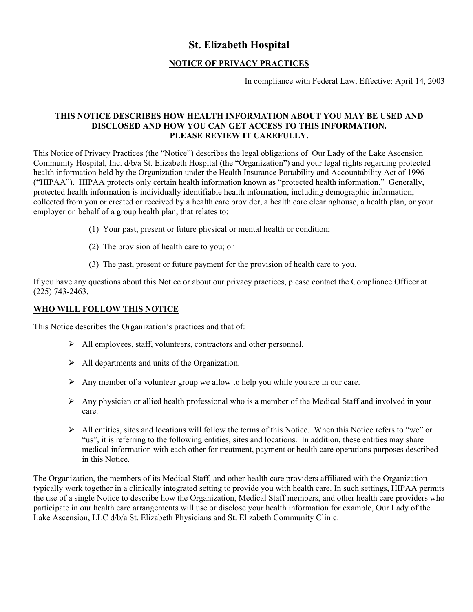# **St. Elizabeth Hospital**

### **NOTICE OF PRIVACY PRACTICES**

In compliance with Federal Law, Effective: April 14, 2003

#### **THIS NOTICE DESCRIBES HOW HEALTH INFORMATION ABOUT YOU MAY BE USED AND DISCLOSED AND HOW YOU CAN GET ACCESS TO THIS INFORMATION. PLEASE REVIEW IT CAREFULLY.**

This Notice of Privacy Practices (the "Notice") describes the legal obligations of Our Lady of the Lake Ascension Community Hospital, Inc. d/b/a St. Elizabeth Hospital (the "Organization") and your legal rights regarding protected health information held by the Organization under the Health Insurance Portability and Accountability Act of 1996 ("HIPAA"). HIPAA protects only certain health information known as "protected health information." Generally, protected health information is individually identifiable health information, including demographic information, collected from you or created or received by a health care provider, a health care clearinghouse, a health plan, or your employer on behalf of a group health plan, that relates to:

- (1) Your past, present or future physical or mental health or condition;
- (2) The provision of health care to you; or
- (3) The past, present or future payment for the provision of health care to you.

If you have any questions about this Notice or about our privacy practices, please contact the Compliance Officer at (225) 743-2463.

#### **WHO WILL FOLLOW THIS NOTICE**

This Notice describes the Organization's practices and that of:

- ¾ All employees, staff, volunteers, contractors and other personnel.
- $\triangleright$  All departments and units of the Organization.
- $\triangleright$  Any member of a volunteer group we allow to help you while you are in our care.
- $\triangleright$  Any physician or allied health professional who is a member of the Medical Staff and involved in your care.
- $\triangleright$  All entities, sites and locations will follow the terms of this Notice. When this Notice refers to "we" or "us", it is referring to the following entities, sites and locations. In addition, these entities may share medical information with each other for treatment, payment or health care operations purposes described in this Notice.

The Organization, the members of its Medical Staff, and other health care providers affiliated with the Organization typically work together in a clinically integrated setting to provide you with health care. In such settings, HIPAA permits the use of a single Notice to describe how the Organization, Medical Staff members, and other health care providers who participate in our health care arrangements will use or disclose your health information for example, Our Lady of the Lake Ascension, LLC d/b/a St. Elizabeth Physicians and St. Elizabeth Community Clinic.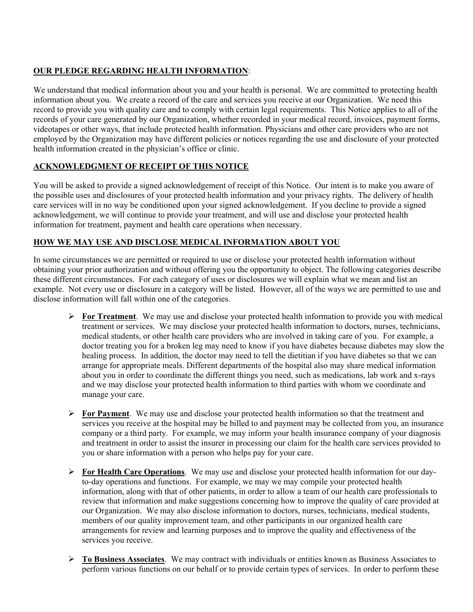# **OUR PLEDGE REGARDING HEALTH INFORMATION**:

We understand that medical information about you and your health is personal. We are committed to protecting health information about you. We create a record of the care and services you receive at our Organization. We need this record to provide you with quality care and to comply with certain legal requirements. This Notice applies to all of the records of your care generated by our Organization, whether recorded in your medical record, invoices, payment forms, videotapes or other ways, that include protected health information. Physicians and other care providers who are not employed by the Organization may have different policies or notices regarding the use and disclosure of your protected health information created in the physician's office or clinic.

# **ACKNOWLEDGMENT OF RECEIPT OF THIS NOTICE**

You will be asked to provide a signed acknowledgement of receipt of this Notice. Our intent is to make you aware of the possible uses and disclosures of your protected health information and your privacy rights. The delivery of health care services will in no way be conditioned upon your signed acknowledgement. If you decline to provide a signed acknowledgement, we will continue to provide your treatment, and will use and disclose your protected health information for treatment, payment and health care operations when necessary.

## **HOW WE MAY USE AND DISCLOSE MEDICAL INFORMATION ABOUT YOU**

In some circumstances we are permitted or required to use or disclose your protected health information without obtaining your prior authorization and without offering you the opportunity to object. The following categories describe these different circumstances. For each category of uses or disclosures we will explain what we mean and list an example. Not every use or disclosure in a category will be listed. However, all of the ways we are permitted to use and disclose information will fall within one of the categories.

- ¾ **For Treatment**. We may use and disclose your protected health information to provide you with medical treatment or services. We may disclose your protected health information to doctors, nurses, technicians, medical students, or other health care providers who are involved in taking care of you. For example, a doctor treating you for a broken leg may need to know if you have diabetes because diabetes may slow the healing process. In addition, the doctor may need to tell the dietitian if you have diabetes so that we can arrange for appropriate meals. Different departments of the hospital also may share medical information about you in order to coordinate the different things you need, such as medications, lab work and x-rays and we may disclose your protected health information to third parties with whom we coordinate and manage your care.
- ¾ **For Payment**. We may use and disclose your protected health information so that the treatment and services you receive at the hospital may be billed to and payment may be collected from you, an insurance company or a third party. For example, we may inform your health insurance company of your diagnosis and treatment in order to assist the insurer in processing our claim for the health care services provided to you or share information with a person who helps pay for your care.
- ¾ **For Health Care Operations**. We may use and disclose your protected health information for our dayto-day operations and functions. For example, we may we may compile your protected health information, along with that of other patients, in order to allow a team of our health care professionals to review that information and make suggestions concerning how to improve the quality of care provided at our Organization. We may also disclose information to doctors, nurses, technicians, medical students, members of our quality improvement team, and other participants in our organized health care arrangements for review and learning purposes and to improve the quality and effectiveness of the services you receive.
- ¾ **To Business Associates**. We may contract with individuals or entities known as Business Associates to perform various functions on our behalf or to provide certain types of services. In order to perform these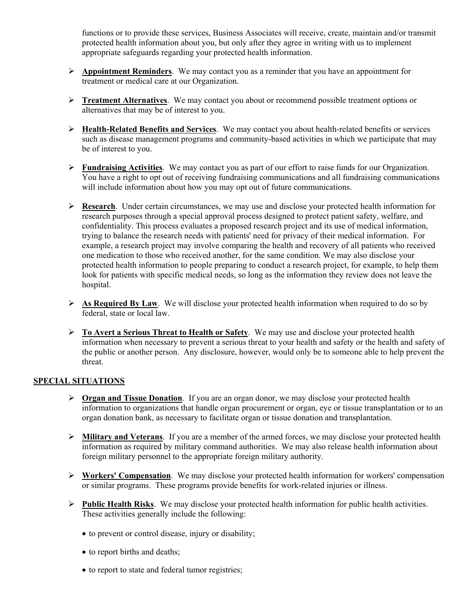functions or to provide these services, Business Associates will receive, create, maintain and/or transmit protected health information about you, but only after they agree in writing with us to implement appropriate safeguards regarding your protected health information.

- ¾ **Appointment Reminders**. We may contact you as a reminder that you have an appointment for treatment or medical care at our Organization.
- ¾ **Treatment Alternatives**. We may contact you about or recommend possible treatment options or alternatives that may be of interest to you.
- ¾ **Health-Related Benefits and Services**. We may contact you about health-related benefits or services such as disease management programs and community-based activities in which we participate that may be of interest to you.
- ¾ **Fundraising Activities**. We may contact you as part of our effort to raise funds for our Organization. You have a right to opt out of receiving fundraising communications and all fundraising communications will include information about how you may opt out of future communications.
- ¾ **Research**. Under certain circumstances, we may use and disclose your protected health information for research purposes through a special approval process designed to protect patient safety, welfare, and confidentiality. This process evaluates a proposed research project and its use of medical information, trying to balance the research needs with patients' need for privacy of their medical information. For example, a research project may involve comparing the health and recovery of all patients who received one medication to those who received another, for the same condition. We may also disclose your protected health information to people preparing to conduct a research project, for example, to help them look for patients with specific medical needs, so long as the information they review does not leave the hospital.
- ¾ **As Required By Law**. We will disclose your protected health information when required to do so by federal, state or local law.
- ¾ **To Avert a Serious Threat to Health or Safety**. We may use and disclose your protected health information when necessary to prevent a serious threat to your health and safety or the health and safety of the public or another person. Any disclosure, however, would only be to someone able to help prevent the threat.

#### **SPECIAL SITUATIONS**

- ¾ **Organ and Tissue Donation**. If you are an organ donor, we may disclose your protected health information to organizations that handle organ procurement or organ, eye or tissue transplantation or to an organ donation bank, as necessary to facilitate organ or tissue donation and transplantation.
- ¾ **Military and Veterans**. If you are a member of the armed forces, we may disclose your protected health information as required by military command authorities. We may also release health information about foreign military personnel to the appropriate foreign military authority.
- ¾ **Workers' Compensation**. We may disclose your protected health information for workers' compensation or similar programs. These programs provide benefits for work-related injuries or illness.
- ¾ **Public Health Risks**. We may disclose your protected health information for public health activities. These activities generally include the following:
	- to prevent or control disease, injury or disability;
	- to report births and deaths;
	- to report to state and federal tumor registries;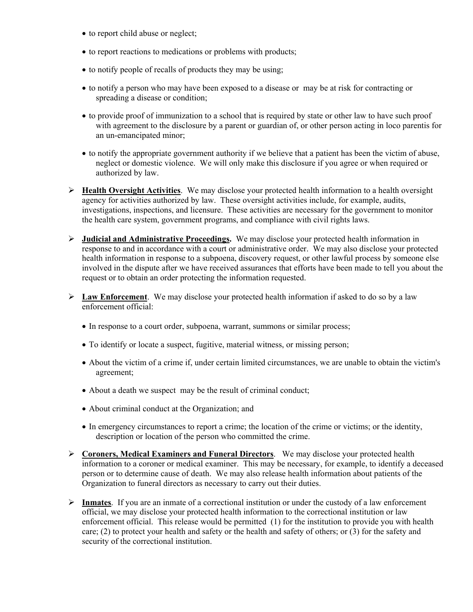- to report child abuse or neglect;
- to report reactions to medications or problems with products;
- to notify people of recalls of products they may be using;
- to notify a person who may have been exposed to a disease or may be at risk for contracting or spreading a disease or condition;
- to provide proof of immunization to a school that is required by state or other law to have such proof with agreement to the disclosure by a parent or guardian of, or other person acting in loco parentis for an un-emancipated minor;
- to notify the appropriate government authority if we believe that a patient has been the victim of abuse, neglect or domestic violence. We will only make this disclosure if you agree or when required or authorized by law.
- ¾ **Health Oversight Activities**. We may disclose your protected health information to a health oversight agency for activities authorized by law. These oversight activities include, for example, audits, investigations, inspections, and licensure. These activities are necessary for the government to monitor the health care system, government programs, and compliance with civil rights laws.
- ¾ **Judicial and Administrative Proceedings.** We may disclose your protected health information in response to and in accordance with a court or administrative order. We may also disclose your protected health information in response to a subpoena, discovery request, or other lawful process by someone else involved in the dispute after we have received assurances that efforts have been made to tell you about the request or to obtain an order protecting the information requested.
- ¾ **Law Enforcement**. We may disclose your protected health information if asked to do so by a law enforcement official:
	- In response to a court order, subpoena, warrant, summons or similar process;
	- To identify or locate a suspect, fugitive, material witness, or missing person;
	- About the victim of a crime if, under certain limited circumstances, we are unable to obtain the victim's agreement;
	- About a death we suspect may be the result of criminal conduct;
	- About criminal conduct at the Organization; and
	- In emergency circumstances to report a crime; the location of the crime or victims; or the identity, description or location of the person who committed the crime.
- ¾ **Coroners, Medical Examiners and Funeral Directors**. We may disclose your protected health information to a coroner or medical examiner. This may be necessary, for example, to identify a deceased person or to determine cause of death. We may also release health information about patients of the Organization to funeral directors as necessary to carry out their duties.
- ¾ **Inmates**. If you are an inmate of a correctional institution or under the custody of a law enforcement official, we may disclose your protected health information to the correctional institution or law enforcement official. This release would be permitted (1) for the institution to provide you with health care; (2) to protect your health and safety or the health and safety of others; or  $(3)$  for the safety and security of the correctional institution.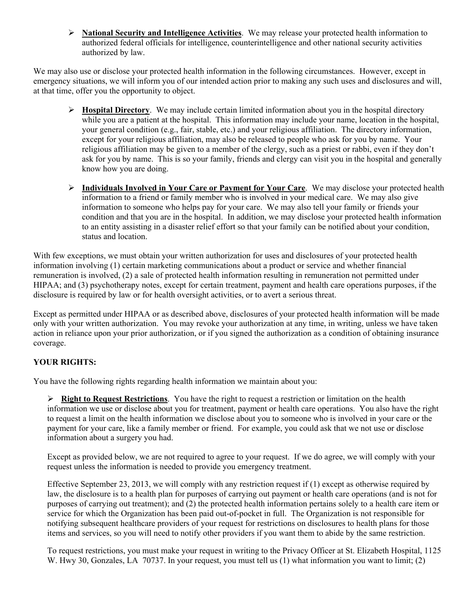¾ **National Security and Intelligence Activities**. We may release your protected health information to authorized federal officials for intelligence, counterintelligence and other national security activities authorized by law.

We may also use or disclose your protected health information in the following circumstances. However, except in emergency situations, we will inform you of our intended action prior to making any such uses and disclosures and will, at that time, offer you the opportunity to object.

- ¾ **Hospital Directory**. We may include certain limited information about you in the hospital directory while you are a patient at the hospital. This information may include your name, location in the hospital, your general condition (e.g., fair, stable, etc.) and your religious affiliation. The directory information, except for your religious affiliation, may also be released to people who ask for you by name. Your religious affiliation may be given to a member of the clergy, such as a priest or rabbi, even if they don't ask for you by name. This is so your family, friends and clergy can visit you in the hospital and generally know how you are doing.
- ¾ **Individuals Involved in Your Care or Payment for Your Care**. We may disclose your protected health information to a friend or family member who is involved in your medical care. We may also give information to someone who helps pay for your care. We may also tell your family or friends your condition and that you are in the hospital. In addition, we may disclose your protected health information to an entity assisting in a disaster relief effort so that your family can be notified about your condition, status and location.

With few exceptions, we must obtain your written authorization for uses and disclosures of your protected health information involving (1) certain marketing communications about a product or service and whether financial remuneration is involved, (2) a sale of protected health information resulting in remuneration not permitted under HIPAA; and (3) psychotherapy notes, except for certain treatment, payment and health care operations purposes, if the disclosure is required by law or for health oversight activities, or to avert a serious threat.

Except as permitted under HIPAA or as described above, disclosures of your protected health information will be made only with your written authorization. You may revoke your authorization at any time, in writing, unless we have taken action in reliance upon your prior authorization, or if you signed the authorization as a condition of obtaining insurance coverage.

# **YOUR RIGHTS:**

You have the following rights regarding health information we maintain about you:

¾ **Right to Request Restrictions**. You have the right to request a restriction or limitation on the health information we use or disclose about you for treatment, payment or health care operations. You also have the right to request a limit on the health information we disclose about you to someone who is involved in your care or the payment for your care, like a family member or friend. For example, you could ask that we not use or disclose information about a surgery you had.

Except as provided below, we are not required to agree to your request. If we do agree, we will comply with your request unless the information is needed to provide you emergency treatment.

Effective September 23, 2013, we will comply with any restriction request if (1) except as otherwise required by law, the disclosure is to a health plan for purposes of carrying out payment or health care operations (and is not for purposes of carrying out treatment); and (2) the protected health information pertains solely to a health care item or service for which the Organization has been paid out-of-pocket in full. The Organization is not responsible for notifying subsequent healthcare providers of your request for restrictions on disclosures to health plans for those items and services, so you will need to notify other providers if you want them to abide by the same restriction.

To request restrictions, you must make your request in writing to the Privacy Officer at St. Elizabeth Hospital, 1125 W. Hwy 30, Gonzales, LA 70737. In your request, you must tell us (1) what information you want to limit; (2)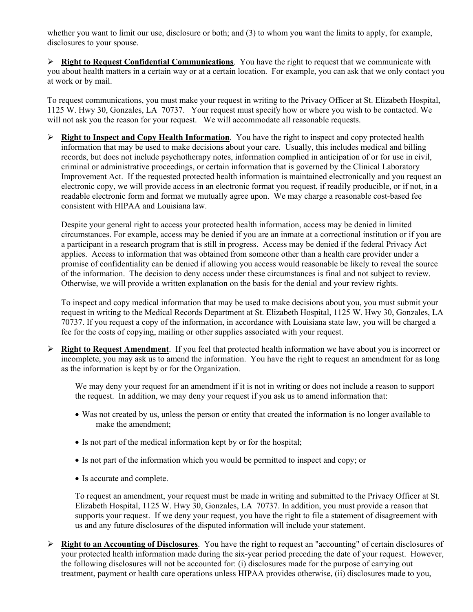whether you want to limit our use, disclosure or both; and (3) to whom you want the limits to apply, for example, disclosures to your spouse.

¾ **Right to Request Confidential Communications**. You have the right to request that we communicate with you about health matters in a certain way or at a certain location. For example, you can ask that we only contact you at work or by mail.

To request communications, you must make your request in writing to the Privacy Officer at St. Elizabeth Hospital, 1125 W. Hwy 30, Gonzales, LA 70737. Your request must specify how or where you wish to be contacted. We will not ask you the reason for your request. We will accommodate all reasonable requests.

¾ **Right to Inspect and Copy Health Information**. You have the right to inspect and copy protected health information that may be used to make decisions about your care. Usually, this includes medical and billing records, but does not include psychotherapy notes, information complied in anticipation of or for use in civil, criminal or administrative proceedings, or certain information that is governed by the Clinical Laboratory Improvement Act. If the requested protected health information is maintained electronically and you request an electronic copy, we will provide access in an electronic format you request, if readily producible, or if not, in a readable electronic form and format we mutually agree upon. We may charge a reasonable cost-based fee consistent with HIPAA and Louisiana law.

Despite your general right to access your protected health information, access may be denied in limited circumstances. For example, access may be denied if you are an inmate at a correctional institution or if you are a participant in a research program that is still in progress. Access may be denied if the federal Privacy Act applies. Access to information that was obtained from someone other than a health care provider under a promise of confidentiality can be denied if allowing you access would reasonable be likely to reveal the source of the information. The decision to deny access under these circumstances is final and not subject to review. Otherwise, we will provide a written explanation on the basis for the denial and your review rights.

To inspect and copy medical information that may be used to make decisions about you, you must submit your request in writing to the Medical Records Department at St. Elizabeth Hospital, 1125 W. Hwy 30, Gonzales, LA 70737. If you request a copy of the information, in accordance with Louisiana state law, you will be charged a fee for the costs of copying, mailing or other supplies associated with your request.

¾ **Right to Request Amendment**. If you feel that protected health information we have about you is incorrect or incomplete, you may ask us to amend the information. You have the right to request an amendment for as long as the information is kept by or for the Organization.

We may deny your request for an amendment if it is not in writing or does not include a reason to support the request. In addition, we may deny your request if you ask us to amend information that:

- Was not created by us, unless the person or entity that created the information is no longer available to make the amendment;
- Is not part of the medical information kept by or for the hospital;
- Is not part of the information which you would be permitted to inspect and copy; or
- Is accurate and complete.

To request an amendment, your request must be made in writing and submitted to the Privacy Officer at St. Elizabeth Hospital, 1125 W. Hwy 30, Gonzales, LA 70737. In addition, you must provide a reason that supports your request. If we deny your request, you have the right to file a statement of disagreement with us and any future disclosures of the disputed information will include your statement.

¾ **Right to an Accounting of Disclosures**. You have the right to request an "accounting" of certain disclosures of your protected health information made during the six-year period preceding the date of your request. However, the following disclosures will not be accounted for: (i) disclosures made for the purpose of carrying out treatment, payment or health care operations unless HIPAA provides otherwise, (ii) disclosures made to you,